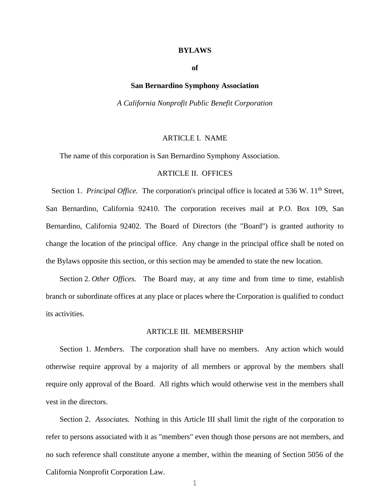#### **BYLAWS**

**of**

# **San Bernardino Symphony Association**

*A California Nonprofit Public Benefit Corporation*

# ARTICLE I. NAME

The name of this corporation is San Bernardino Symphony Association.

## ARTICLE II. OFFICES

Section 1. *Principal Office*. The corporation's principal office is located at 536 W. 11<sup>th</sup> Street, San Bernardino, California 92410. The corporation receives mail at P.O. Box 109, San Bernardino, California 92402. The Board of Directors (the "Board") is granted authority to change the location of the principal office. Any change in the principal office shall be noted on the Bylaws opposite this section, or this section may be amended to state the new location.

Section 2. *Other Offices.* The Board may, at any time and from time to time, establish branch or subordinate offices at any place or places where the Corporation is qualified to conduct its activities.

#### ARTICLE III. MEMBERSHIP

Section 1. *Members.* The corporation shall have no members. Any action which would otherwise require approval by a majority of all members or approval by the members shall require only approval of the Board. All rights which would otherwise vest in the members shall vest in the directors.

Section 2. *Associates.* Nothing in this Article III shall limit the right of the corporation to refer to persons associated with it as "members" even though those persons are not members, and no such reference shall constitute anyone a member, within the meaning of Section 5056 of the California Nonprofit Corporation Law.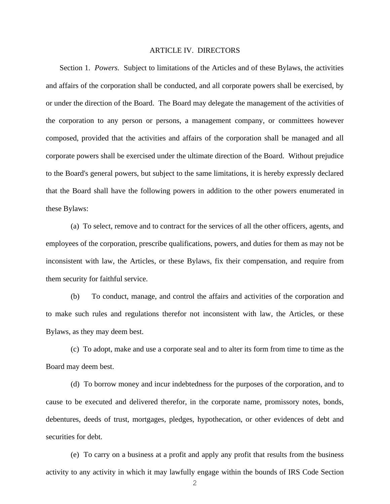## ARTICLE IV. DIRECTORS

Section 1. *Powers.* Subject to limitations of the Articles and of these Bylaws, the activities and affairs of the corporation shall be conducted, and all corporate powers shall be exercised, by or under the direction of the Board. The Board may delegate the management of the activities of the corporation to any person or persons, a management company, or committees however composed, provided that the activities and affairs of the corporation shall be managed and all corporate powers shall be exercised under the ultimate direction of the Board. Without prejudice to the Board's general powers, but subject to the same limitations, it is hereby expressly declared that the Board shall have the following powers in addition to the other powers enumerated in these Bylaws:

(a) To select, remove and to contract for the services of all the other officers, agents, and employees of the corporation, prescribe qualifications, powers, and duties for them as may not be inconsistent with law, the Articles, or these Bylaws, fix their compensation, and require from them security for faithful service.

(b) To conduct, manage, and control the affairs and activities of the corporation and to make such rules and regulations therefor not inconsistent with law, the Articles, or these Bylaws, as they may deem best.

(c) To adopt, make and use a corporate seal and to alter its form from time to time as the Board may deem best.

(d) To borrow money and incur indebtedness for the purposes of the corporation, and to cause to be executed and delivered therefor, in the corporate name, promissory notes, bonds, debentures, deeds of trust, mortgages, pledges, hypothecation, or other evidences of debt and securities for debt.

(e) To carry on a business at a profit and apply any profit that results from the business activity to any activity in which it may lawfully engage within the bounds of IRS Code Section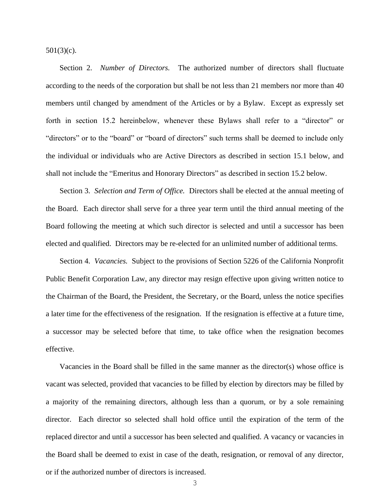501(3)(c).

Section 2. *Number of Directors.* The authorized number of directors shall fluctuate according to the needs of the corporation but shall be not less than 21 members nor more than 40 members until changed by amendment of the Articles or by a Bylaw. Except as expressly set forth in section 15.2 hereinbelow, whenever these Bylaws shall refer to a "director" or "directors" or to the "board" or "board of directors" such terms shall be deemed to include only the individual or individuals who are Active Directors as described in section 15.1 below, and shall not include the "Emeritus and Honorary Directors" as described in section 15.2 below.

Section 3. *Selection and Term of Office.* Directors shall be elected at the annual meeting of the Board. Each director shall serve for a three year term until the third annual meeting of the Board following the meeting at which such director is selected and until a successor has been elected and qualified. Directors may be re-elected for an unlimited number of additional terms.

Section 4. *Vacancies.* Subject to the provisions of Section 5226 of the California Nonprofit Public Benefit Corporation Law, any director may resign effective upon giving written notice to the Chairman of the Board, the President, the Secretary, or the Board, unless the notice specifies a later time for the effectiveness of the resignation. If the resignation is effective at a future time, a successor may be selected before that time, to take office when the resignation becomes effective.

Vacancies in the Board shall be filled in the same manner as the director(s) whose office is vacant was selected, provided that vacancies to be filled by election by directors may be filled by a majority of the remaining directors, although less than a quorum, or by a sole remaining director. Each director so selected shall hold office until the expiration of the term of the replaced director and until a successor has been selected and qualified. A vacancy or vacancies in the Board shall be deemed to exist in case of the death, resignation, or removal of any director, or if the authorized number of directors is increased.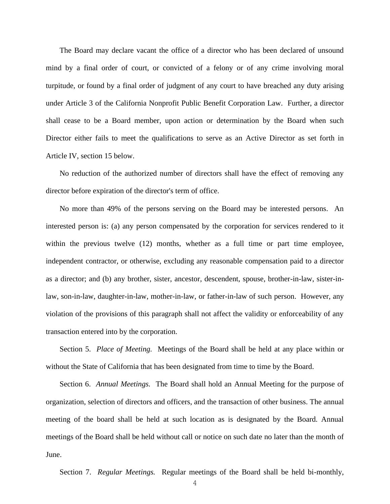The Board may declare vacant the office of a director who has been declared of unsound mind by a final order of court, or convicted of a felony or of any crime involving moral turpitude, or found by a final order of judgment of any court to have breached any duty arising under Article 3 of the California Nonprofit Public Benefit Corporation Law. Further, a director shall cease to be a Board member, upon action or determination by the Board when such Director either fails to meet the qualifications to serve as an Active Director as set forth in Article IV, section 15 below.

No reduction of the authorized number of directors shall have the effect of removing any director before expiration of the director's term of office.

No more than 49% of the persons serving on the Board may be interested persons. An interested person is: (a) any person compensated by the corporation for services rendered to it within the previous twelve (12) months, whether as a full time or part time employee, independent contractor, or otherwise, excluding any reasonable compensation paid to a director as a director; and (b) any brother, sister, ancestor, descendent, spouse, brother-in-law, sister-inlaw, son-in-law, daughter-in-law, mother-in-law, or father-in-law of such person. However, any violation of the provisions of this paragraph shall not affect the validity or enforceability of any transaction entered into by the corporation.

Section 5. *Place of Meeting.* Meetings of the Board shall be held at any place within or without the State of California that has been designated from time to time by the Board.

Section 6. *Annual Meetings.* The Board shall hold an Annual Meeting for the purpose of organization, selection of directors and officers, and the transaction of other business. The annual meeting of the board shall be held at such location as is designated by the Board. Annual meetings of the Board shall be held without call or notice on such date no later than the month of June.

Section 7. *Regular Meetings.* Regular meetings of the Board shall be held bi-monthly,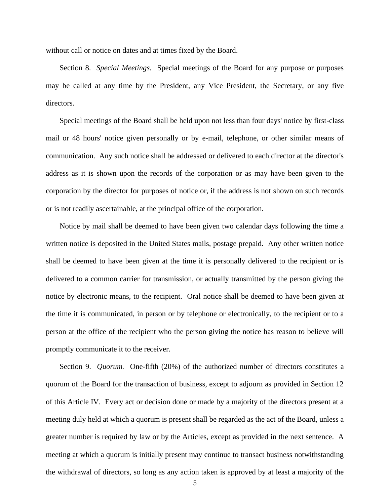without call or notice on dates and at times fixed by the Board.

Section 8. *Special Meetings.* Special meetings of the Board for any purpose or purposes may be called at any time by the President, any Vice President, the Secretary, or any five directors.

Special meetings of the Board shall be held upon not less than four days' notice by first-class mail or 48 hours' notice given personally or by e-mail, telephone, or other similar means of communication. Any such notice shall be addressed or delivered to each director at the director's address as it is shown upon the records of the corporation or as may have been given to the corporation by the director for purposes of notice or, if the address is not shown on such records or is not readily ascertainable, at the principal office of the corporation.

Notice by mail shall be deemed to have been given two calendar days following the time a written notice is deposited in the United States mails, postage prepaid. Any other written notice shall be deemed to have been given at the time it is personally delivered to the recipient or is delivered to a common carrier for transmission, or actually transmitted by the person giving the notice by electronic means, to the recipient. Oral notice shall be deemed to have been given at the time it is communicated, in person or by telephone or electronically, to the recipient or to a person at the office of the recipient who the person giving the notice has reason to believe will promptly communicate it to the receiver.

Section 9. *Quorum.* One-fifth (20%) of the authorized number of directors constitutes a quorum of the Board for the transaction of business, except to adjourn as provided in Section 12 of this Article IV. Every act or decision done or made by a majority of the directors present at a meeting duly held at which a quorum is present shall be regarded as the act of the Board, unless a greater number is required by law or by the Articles, except as provided in the next sentence. A meeting at which a quorum is initially present may continue to transact business notwithstanding the withdrawal of directors, so long as any action taken is approved by at least a majority of the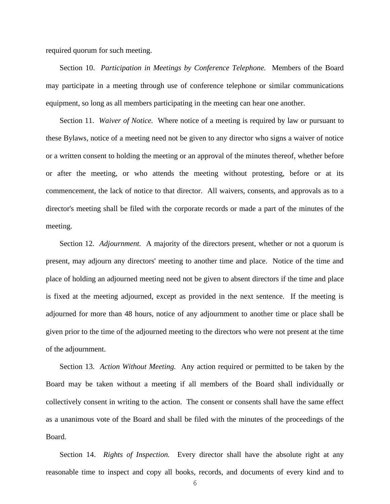required quorum for such meeting.

Section 10. *Participation in Meetings by Conference Telephone.* Members of the Board may participate in a meeting through use of conference telephone or similar communications equipment, so long as all members participating in the meeting can hear one another.

Section 11. *Waiver of Notice.* Where notice of a meeting is required by law or pursuant to these Bylaws, notice of a meeting need not be given to any director who signs a waiver of notice or a written consent to holding the meeting or an approval of the minutes thereof, whether before or after the meeting, or who attends the meeting without protesting, before or at its commencement, the lack of notice to that director. All waivers, consents, and approvals as to a director's meeting shall be filed with the corporate records or made a part of the minutes of the meeting.

Section 12. *Adjournment.* A majority of the directors present, whether or not a quorum is present, may adjourn any directors' meeting to another time and place. Notice of the time and place of holding an adjourned meeting need not be given to absent directors if the time and place is fixed at the meeting adjourned, except as provided in the next sentence. If the meeting is adjourned for more than 48 hours, notice of any adjournment to another time or place shall be given prior to the time of the adjourned meeting to the directors who were not present at the time of the adjournment.

Section 13. *Action Without Meeting.* Any action required or permitted to be taken by the Board may be taken without a meeting if all members of the Board shall individually or collectively consent in writing to the action. The consent or consents shall have the same effect as a unanimous vote of the Board and shall be filed with the minutes of the proceedings of the Board.

Section 14. *Rights of Inspection.* Every director shall have the absolute right at any reasonable time to inspect and copy all books, records, and documents of every kind and to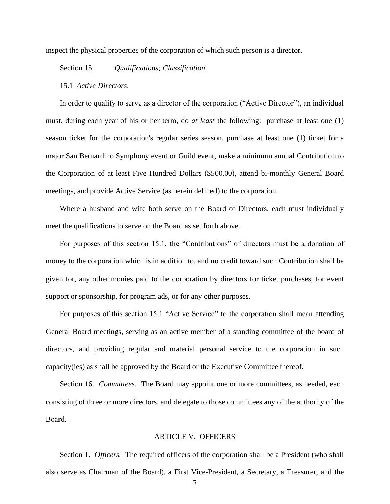inspect the physical properties of the corporation of which such person is a director.

Section 15. *Qualifications; Classification.*

#### 15.1 *Active Directors*.

In order to qualify to serve as a director of the corporation ("Active Director"), an individual must, during each year of his or her term, do *at least* the following: purchase at least one (1) season ticket for the corporation's regular series season, purchase at least one (1) ticket for a major San Bernardino Symphony event or Guild event, make a minimum annual Contribution to the Corporation of at least Five Hundred Dollars (\$500.00), attend bi-monthly General Board meetings, and provide Active Service (as herein defined) to the corporation.

Where a husband and wife both serve on the Board of Directors, each must individually meet the qualifications to serve on the Board as set forth above.

For purposes of this section 15.1, the "Contributions" of directors must be a donation of money to the corporation which is in addition to, and no credit toward such Contribution shall be given for, any other monies paid to the corporation by directors for ticket purchases, for event support or sponsorship, for program ads, or for any other purposes.

For purposes of this section 15.1 "Active Service" to the corporation shall mean attending General Board meetings, serving as an active member of a standing committee of the board of directors, and providing regular and material personal service to the corporation in such capacity(ies) as shall be approved by the Board or the Executive Committee thereof.

Section 16. *Committees.* The Board may appoint one or more committees, as needed, each consisting of three or more directors, and delegate to those committees any of the authority of the Board.

## ARTICLE V. OFFICERS

Section 1. *Officers.* The required officers of the corporation shall be a President (who shall also serve as Chairman of the Board), a First Vice-President, a Secretary, a Treasurer, and the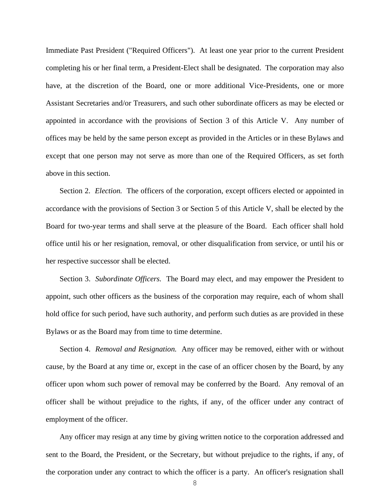Immediate Past President ("Required Officers"). At least one year prior to the current President completing his or her final term, a President-Elect shall be designated. The corporation may also have, at the discretion of the Board, one or more additional Vice-Presidents, one or more Assistant Secretaries and/or Treasurers, and such other subordinate officers as may be elected or appointed in accordance with the provisions of Section 3 of this Article V. Any number of offices may be held by the same person except as provided in the Articles or in these Bylaws and except that one person may not serve as more than one of the Required Officers, as set forth above in this section.

Section 2. *Election*. The officers of the corporation, except officers elected or appointed in accordance with the provisions of Section 3 or Section 5 of this Article V, shall be elected by the Board for two-year terms and shall serve at the pleasure of the Board. Each officer shall hold office until his or her resignation, removal, or other disqualification from service, or until his or her respective successor shall be elected.

Section 3. *Subordinate Officers.* The Board may elect, and may empower the President to appoint, such other officers as the business of the corporation may require, each of whom shall hold office for such period, have such authority, and perform such duties as are provided in these Bylaws or as the Board may from time to time determine.

Section 4. *Removal and Resignation.* Any officer may be removed, either with or without cause, by the Board at any time or, except in the case of an officer chosen by the Board, by any officer upon whom such power of removal may be conferred by the Board. Any removal of an officer shall be without prejudice to the rights, if any, of the officer under any contract of employment of the officer.

Any officer may resign at any time by giving written notice to the corporation addressed and sent to the Board, the President, or the Secretary, but without prejudice to the rights, if any, of the corporation under any contract to which the officer is a party. An officer's resignation shall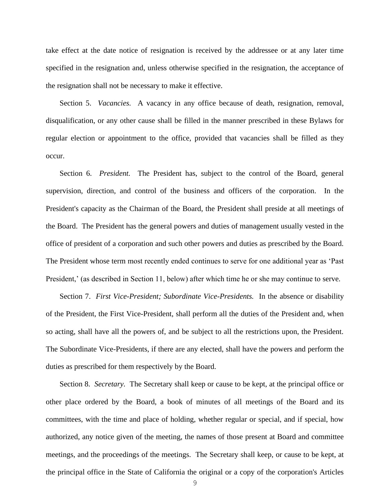take effect at the date notice of resignation is received by the addressee or at any later time specified in the resignation and, unless otherwise specified in the resignation, the acceptance of the resignation shall not be necessary to make it effective.

Section 5. *Vacancies*. A vacancy in any office because of death, resignation, removal, disqualification, or any other cause shall be filled in the manner prescribed in these Bylaws for regular election or appointment to the office, provided that vacancies shall be filled as they occur.

Section 6. *President.* The President has, subject to the control of the Board, general supervision, direction, and control of the business and officers of the corporation. In the President's capacity as the Chairman of the Board, the President shall preside at all meetings of the Board. The President has the general powers and duties of management usually vested in the office of president of a corporation and such other powers and duties as prescribed by the Board. The President whose term most recently ended continues to serve for one additional year as 'Past President,' (as described in Section 11, below) after which time he or she may continue to serve.

Section 7. *First Vice-President; Subordinate Vice-Presidents.* In the absence or disability of the President, the First Vice-President, shall perform all the duties of the President and, when so acting, shall have all the powers of, and be subject to all the restrictions upon, the President. The Subordinate Vice-Presidents, if there are any elected, shall have the powers and perform the duties as prescribed for them respectively by the Board.

Section 8. *Secretary.* The Secretary shall keep or cause to be kept, at the principal office or other place ordered by the Board, a book of minutes of all meetings of the Board and its committees, with the time and place of holding, whether regular or special, and if special, how authorized, any notice given of the meeting, the names of those present at Board and committee meetings, and the proceedings of the meetings. The Secretary shall keep, or cause to be kept, at the principal office in the State of California the original or a copy of the corporation's Articles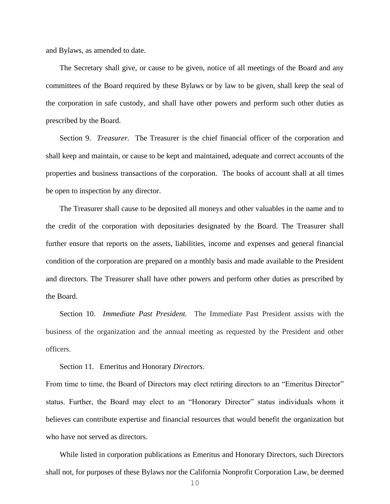and Bylaws, as amended to date.

The Secretary shall give, or cause to be given, notice of all meetings of the Board and any committees of the Board required by these Bylaws or by law to be given, shall keep the seal of the corporation in safe custody, and shall have other powers and perform such other duties as prescribed by the Board.

Section 9. *Treasurer.* The Treasurer is the chief financial officer of the corporation and shall keep and maintain, or cause to be kept and maintained, adequate and correct accounts of the properties and business transactions of the corporation. The books of account shall at all times be open to inspection by any director.

The Treasurer shall cause to be deposited all moneys and other valuables in the name and to the credit of the corporation with depositaries designated by the Board. The Treasurer shall further ensure that reports on the assets, liabilities, income and expenses and general financial condition of the corporation are prepared on a monthly basis and made available to the President and directors. The Treasurer shall have other powers and perform other duties as prescribed by the Board.

Section 10. *Immediate Past President.* The Immediate Past President assists with the business of the organization and the annual meeting as requested by the President and other officers.

Section 11. Emeritus and Honorary *Directors*.

From time to time, the Board of Directors may elect retiring directors to an "Emeritus Director" status. Further, the Board may elect to an "Honorary Director" status individuals whom it believes can contribute expertise and financial resources that would benefit the organization but who have not served as directors.

While listed in corporation publications as Emeritus and Honorary Directors, such Directors shall not, for purposes of these Bylaws nor the California Nonprofit Corporation Law, be deemed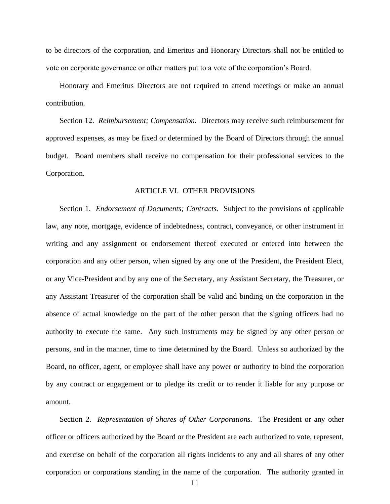to be directors of the corporation, and Emeritus and Honorary Directors shall not be entitled to vote on corporate governance or other matters put to a vote of the corporation's Board.

Honorary and Emeritus Directors are not required to attend meetings or make an annual contribution.

Section 12. *Reimbursement; Compensation.* Directors may receive such reimbursement for approved expenses, as may be fixed or determined by the Board of Directors through the annual budget. Board members shall receive no compensation for their professional services to the Corporation.

# ARTICLE VI. OTHER PROVISIONS

Section 1. *Endorsement of Documents; Contracts.* Subject to the provisions of applicable law, any note, mortgage, evidence of indebtedness, contract, conveyance, or other instrument in writing and any assignment or endorsement thereof executed or entered into between the corporation and any other person, when signed by any one of the President, the President Elect, or any Vice-President and by any one of the Secretary, any Assistant Secretary, the Treasurer, or any Assistant Treasurer of the corporation shall be valid and binding on the corporation in the absence of actual knowledge on the part of the other person that the signing officers had no authority to execute the same. Any such instruments may be signed by any other person or persons, and in the manner, time to time determined by the Board. Unless so authorized by the Board, no officer, agent, or employee shall have any power or authority to bind the corporation by any contract or engagement or to pledge its credit or to render it liable for any purpose or amount.

Section 2. *Representation of Shares of Other Corporations.* The President or any other officer or officers authorized by the Board or the President are each authorized to vote, represent, and exercise on behalf of the corporation all rights incidents to any and all shares of any other corporation or corporations standing in the name of the corporation. The authority granted in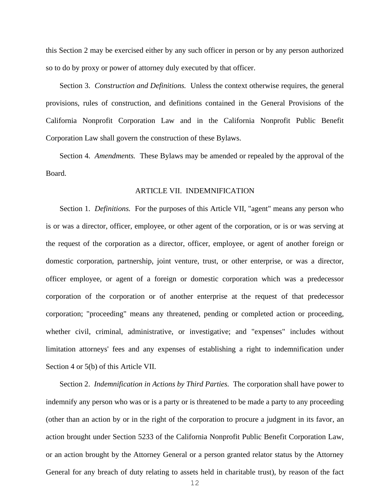this Section 2 may be exercised either by any such officer in person or by any person authorized so to do by proxy or power of attorney duly executed by that officer.

Section 3. *Construction and Definitions.* Unless the context otherwise requires, the general provisions, rules of construction, and definitions contained in the General Provisions of the California Nonprofit Corporation Law and in the California Nonprofit Public Benefit Corporation Law shall govern the construction of these Bylaws.

Section 4. *Amendments.* These Bylaws may be amended or repealed by the approval of the Board.

### ARTICLE VII. INDEMNIFICATION

Section 1. *Definitions.* For the purposes of this Article VII, "agent" means any person who is or was a director, officer, employee, or other agent of the corporation, or is or was serving at the request of the corporation as a director, officer, employee, or agent of another foreign or domestic corporation, partnership, joint venture, trust, or other enterprise, or was a director, officer employee, or agent of a foreign or domestic corporation which was a predecessor corporation of the corporation or of another enterprise at the request of that predecessor corporation; "proceeding" means any threatened, pending or completed action or proceeding, whether civil, criminal, administrative, or investigative; and "expenses" includes without limitation attorneys' fees and any expenses of establishing a right to indemnification under Section 4 or 5(b) of this Article VII.

Section 2. *Indemnification in Actions by Third Parties.* The corporation shall have power to indemnify any person who was or is a party or is threatened to be made a party to any proceeding (other than an action by or in the right of the corporation to procure a judgment in its favor, an action brought under Section 5233 of the California Nonprofit Public Benefit Corporation Law, or an action brought by the Attorney General or a person granted relator status by the Attorney General for any breach of duty relating to assets held in charitable trust), by reason of the fact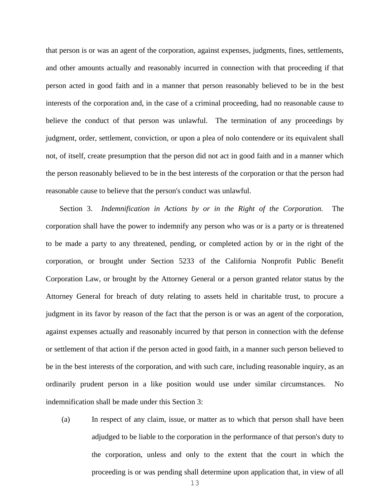that person is or was an agent of the corporation, against expenses, judgments, fines, settlements, and other amounts actually and reasonably incurred in connection with that proceeding if that person acted in good faith and in a manner that person reasonably believed to be in the best interests of the corporation and, in the case of a criminal proceeding, had no reasonable cause to believe the conduct of that person was unlawful. The termination of any proceedings by judgment, order, settlement, conviction, or upon a plea of nolo contendere or its equivalent shall not, of itself, create presumption that the person did not act in good faith and in a manner which the person reasonably believed to be in the best interests of the corporation or that the person had reasonable cause to believe that the person's conduct was unlawful.

Section 3. *Indemnification in Actions by or in the Right of the Corporation.* The corporation shall have the power to indemnify any person who was or is a party or is threatened to be made a party to any threatened, pending, or completed action by or in the right of the corporation, or brought under Section 5233 of the California Nonprofit Public Benefit Corporation Law, or brought by the Attorney General or a person granted relator status by the Attorney General for breach of duty relating to assets held in charitable trust, to procure a judgment in its favor by reason of the fact that the person is or was an agent of the corporation, against expenses actually and reasonably incurred by that person in connection with the defense or settlement of that action if the person acted in good faith, in a manner such person believed to be in the best interests of the corporation, and with such care, including reasonable inquiry, as an ordinarily prudent person in a like position would use under similar circumstances. No indemnification shall be made under this Section 3:

(a) In respect of any claim, issue, or matter as to which that person shall have been adjudged to be liable to the corporation in the performance of that person's duty to the corporation, unless and only to the extent that the court in which the proceeding is or was pending shall determine upon application that, in view of all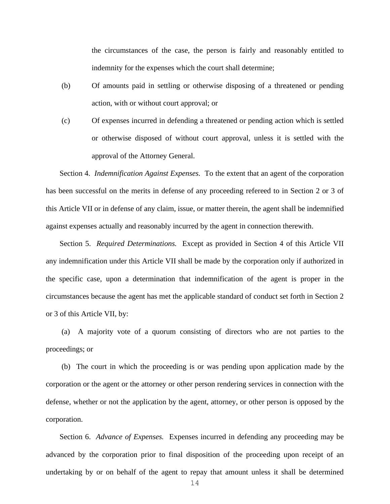the circumstances of the case, the person is fairly and reasonably entitled to indemnity for the expenses which the court shall determine;

- (b) Of amounts paid in settling or otherwise disposing of a threatened or pending action, with or without court approval; or
- (c) Of expenses incurred in defending a threatened or pending action which is settled or otherwise disposed of without court approval, unless it is settled with the approval of the Attorney General.

Section 4. *Indemnification Against Expenses.* To the extent that an agent of the corporation has been successful on the merits in defense of any proceeding refereed to in Section 2 or 3 of this Article VII or in defense of any claim, issue, or matter therein, the agent shall be indemnified against expenses actually and reasonably incurred by the agent in connection therewith.

Section 5. *Required Determinations.* Except as provided in Section 4 of this Article VII any indemnification under this Article VII shall be made by the corporation only if authorized in the specific case, upon a determination that indemnification of the agent is proper in the circumstances because the agent has met the applicable standard of conduct set forth in Section 2 or 3 of this Article VII, by:

(a) A majority vote of a quorum consisting of directors who are not parties to the proceedings; or

(b) The court in which the proceeding is or was pending upon application made by the corporation or the agent or the attorney or other person rendering services in connection with the defense, whether or not the application by the agent, attorney, or other person is opposed by the corporation.

Section 6. *Advance of Expenses.* Expenses incurred in defending any proceeding may be advanced by the corporation prior to final disposition of the proceeding upon receipt of an undertaking by or on behalf of the agent to repay that amount unless it shall be determined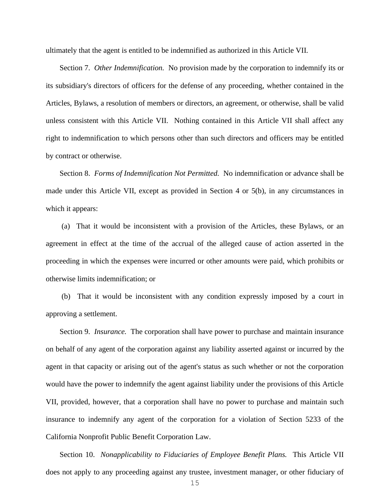ultimately that the agent is entitled to be indemnified as authorized in this Article VII.

Section 7. *Other Indemnification.* No provision made by the corporation to indemnify its or its subsidiary's directors of officers for the defense of any proceeding, whether contained in the Articles, Bylaws, a resolution of members or directors, an agreement, or otherwise, shall be valid unless consistent with this Article VII. Nothing contained in this Article VII shall affect any right to indemnification to which persons other than such directors and officers may be entitled by contract or otherwise.

Section 8. *Forms of Indemnification Not Permitted.* No indemnification or advance shall be made under this Article VII, except as provided in Section 4 or 5(b), in any circumstances in which it appears:

(a) That it would be inconsistent with a provision of the Articles, these Bylaws, or an agreement in effect at the time of the accrual of the alleged cause of action asserted in the proceeding in which the expenses were incurred or other amounts were paid, which prohibits or otherwise limits indemnification; or

(b) That it would be inconsistent with any condition expressly imposed by a court in approving a settlement.

Section 9. *Insurance.* The corporation shall have power to purchase and maintain insurance on behalf of any agent of the corporation against any liability asserted against or incurred by the agent in that capacity or arising out of the agent's status as such whether or not the corporation would have the power to indemnify the agent against liability under the provisions of this Article VII, provided, however, that a corporation shall have no power to purchase and maintain such insurance to indemnify any agent of the corporation for a violation of Section 5233 of the California Nonprofit Public Benefit Corporation Law.

Section 10. *Nonapplicability to Fiduciaries of Employee Benefit Plans.* This Article VII does not apply to any proceeding against any trustee, investment manager, or other fiduciary of